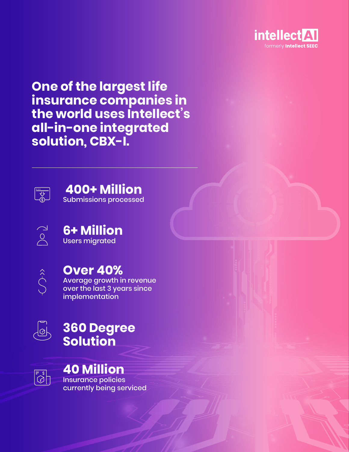

**One of the largest life insurance companies in the world uses Intellect's all-in-one integrated solution, CBX-I.**





 $\begin{tabular}{|c|c|} \hline \quad \quad & \quad \quad & \quad \quad \\ \hline $ \downarrow$ & \quad \quad \\ \hline $ \uparrow$ & \quad \quad \\ \hline $\uparrow$ & \quad \quad \\ \hline $\uparrow$ & \quad \quad \\ \hline $\downarrow$ & \quad \quad \\ \hline $\downarrow$ & \quad \quad \\ \hline $\downarrow$ & \quad \quad \\ \hline $\downarrow$ & \quad \quad \\ \hline $\downarrow$ & \quad \quad \\ \hline $\downarrow$ & \quad \quad \\ \hline $\downarrow$ & \quad \quad \\ \hline $\downarrow$ & \quad \quad \\ \hline $\downarrow$ & \quad \quad \\ \hline $\downarrow$ & \quad \quad \\ \hline $\downarrow$ 

**6+ Million**  Users migrated



# **Over 40%**

Average growth in revenue over the last 3 years since implementation



# **360 Degree Solution**

 $\begin{bmatrix} \overline{\mathbb{C}} \ \overline{\mathbb{C}} \end{bmatrix}$ 

# **40 Million**

Insurance policies currently being serviced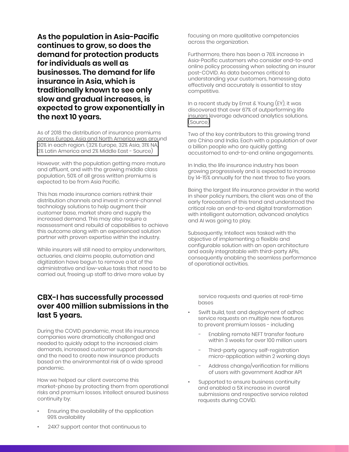**As the population in Asia-Pacific continues to grow, so does the demand for protection products for individuals as well as businesses. The demand for life insurance in Asia, which is traditionally known to see only slow and gradual increases, is expected to grow exponentially in the next 10 years.** 

As of 2018 the distribution of insurance premiums across Europe, Asia and North America was around [30% in each region. \(32% Europe, 32% Asia, 31% NA,](https://www.statista.com/statistics/976767/insurance-premiums-worldwide-by-region/)  3% Latin America and 2% Middle East - Source)

However, with the population getting more mature and affluent, and with the growing middle class population, 50% of all gross written premiums is expected to be from Asia Pacific.

This has made insurance carriers rethink their distribution channels and invest in omni-channel technology solutions to help augment their customer base, market share and supply the increased demand. This may also require a reassessment and rebuild of capabilities to achieve this outcome along with an experienced solution partner with proven expertise within the industry.

While insurers will still need to employ underwriters, actuaries, and claims people, automation and digitization have begun to remove a lot of the administrative and low-value tasks that need to be carried out, freeing up staff to drive more value by

### **CBX-I has successfully processed over 400 million submissions in the last 5 years.**

During the COVID pandemic, most life insurance companies were dramatically challenged and needed to quickly adapt to the increased claim demands, increased customer support demands and the need to create new insurance products based on the environmental risk of a wide spread pandemic.

How we helped our client overcome this market-phase by protecting them from operational risks and premium losses. Intellect ensured business continuity by:

• Ensuring the availability of the application 99% availability

focusing on more qualitative competencies across the organization.

Furthermore, there has been a 76% increase in Asia-Pacific customers who consider end-to-end online policy processing when selecting an insurer post-COVID. As data becomes critical to understanding your customers, harnessing data effectively and accurately is essential to stay competitive.

In a recent study by Ernst & Young (EY), it was discovered that over 67% of outperforming life insurers leverage advanced analytics solutions. [\(Source\)](https://www.ey.com/en_gl/financial-services-asia-pacific/how-southeast-asia-s-insurers-can-seize-growth-in-the-next-decade)

Two of the key contributors to this growing trend are China and India. Each with a population of over a billion people who are quickly getting accustomed to end-to-end online engagements.

In India, the life insurance industry has been growing progressively and is expected to increase by 14-15% annually for the next three to five years.

Being the largest life insurance provider in the world in sheer policy numbers, the client was one of the early forecasters of this trend and understood the critical role an end-to-end digital transformation with intelligent automation, advanced analytics and AI was going to play.

Subsequently, Intellect was tasked with the objective of implementing a flexible and configurable solution with an open architecture and easily integratable with third-party APIs, consequently enabling the seamless performance of operational activities.

 service requests and queries at real-time bases

- Swift build, test and deployment of adhoc service requests on multiple new features to prevent premium losses - including
	- Enabling remote NEFT transfer feature within 3 weeks for over 100 million users
	- Third-party agency self-registration micro-application within 2 working days
	- Address change/verification for millions of users with government Aadhar API
- Supported to ensure business continuity and enabled a 5X increase in overall submissions and respective service related requests during COVID.

• 24X7 support center that continuous to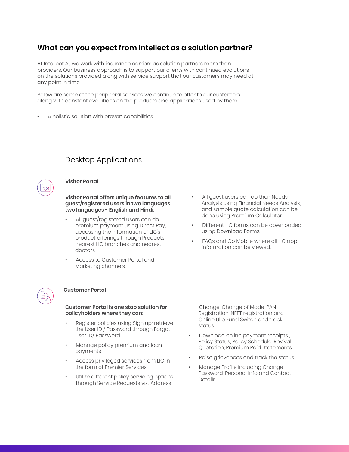# **What can you expect from Intellect as a solution partner?**

At Intellect AI, we work with insurance carriers as solution partners more than providers. Our business approach is to support our clients with continued evolutions on the solutions provided along with service support that our customers may need at any point in time.

Below are some of the peripheral services we continue to offer to our customers along with constant evolutions on the products and applications used by them.

• A holistic solution with proven capabilities.

# Desktop Applications

#### **Visitor Portal**

#### **Visitor Portal offers unique features to all guest/registered users in two languages two languages - English and Hindi.**

- All guest/registered users can do premium payment using Direct Pay, accessing the information of LIC's product offerings through Products, nearest LIC branches and nearest doctors
- Access to Customer Portal and Marketing channels.



#### **Customer Portal**

**Customer Portal is one stop solution for policyholders where they can:** 

- Register policies using Sign up; retrieve the User ID / Password through Forgot User ID/ Password.
- Manage policy premium and loan payments
- Access privileged services from LIC in the form of Premier Services
- Utilize different policy servicing options through Service Requests viz.. Address
- All guest users can do their Needs Analysis using Financial Needs Analysis, and sample quote calculation can be done using Premium Calculator.
- Different LIC forms can be downloaded using Download Forms.
- FAQs and Go Mobile where all LIC app information can be viewed.

 Change, Change of Mode, PAN Registration, NEFT registration and Online Ulip Fund Switch and track status

- Download online payment receipts , Policy Status, Policy Schedule, Revival Quotation, Premium Paid Statements
- Raise grievances and track the status
- Manage Profile including Change Password, Personal Info and Contact Details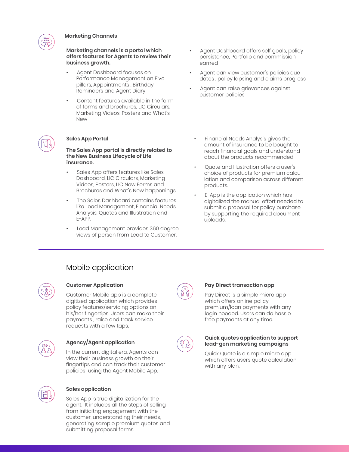

#### **Marketing Channels**

**Marketing channels is a portal which offers features for Agents to review their business growth.**

- Agent Dashboard focuses on Performance Management on Five pillars, Appointments , Birthday Reminders and Agent Diary
- Content features available in the form of forms and brochures, LIC Circulars, Marketing Videos, Posters and What's New

#### **Sales App Portal**

**The Sales App portal is directly related to the New Business Lifecycle of Life insurance.**

- Sales App offers features like Sales Dashboard, LIC Circulars, Marketing Videos, Posters, LIC New Forms and Brochures and What's New happenings
- The Sales Dashboard contains features like Lead Management, Financial Needs Analysis, Quotes and Illustration and E-APP.
- Lead Management provides 360 degree views of person from Lead to Customer.
- Agent Dashboard offers self goals, policy persistence, Portfolio and commission earned
- Agent can view customer's policies due dates , policy lapsing and claims progress
- Agent can raise grievances against customer policies
	- Financial Needs Analysis gives the amount of insurance to be bought to reach financial goals and understand about the products recommended
	- Quote and Illustration offers a user's choice of products for premium calculation and comparison across different products.
	- E-App is the application which has digitalized the manual effort needed to submit a proposal for policy purchase by supporting the required document uploads.

### Mobile application



#### **Customer Application**

Customer Mobile app is a complete digitized application which provides policy features/servicing options on his/her fingertips. Users can make their payments , raise and track service requests with a few taps.



### **Agency/Agent application**

In the current digital era, Agents can view their business growth on their fingertips and can track their customer policies using the Agent Mobile App.



#### **Sales application**

Sales App is true digitalization for the agent. It includes all the steps of selling from initiaitng engagement with the customer, understanding their needs, generating sample premium quotes and submitting proposal forms.



#### **Pay Direct transaction app**

Pay Direct is a simple micro app which offers online policy premium/loan payments with any login needed. Users can do hassle free payments at any time.



#### **Quick quotes application to support lead-gen marketing campaigns**

Quick Quote is a simple micro app which offers users quote calculation with any plan.